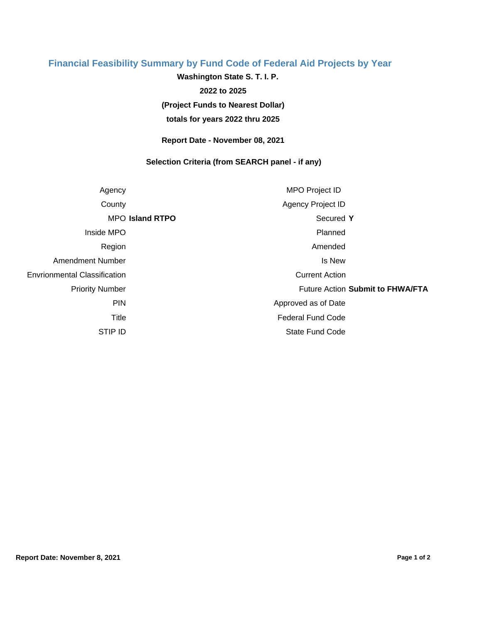## **Financial Feasibility Summary by Fund Code of Federal Aid Projects by Year**

**(Project Funds to Nearest Dollar) Washington State S. T. I. P. 2022 to 2025**

**totals for years 2022 thru 2025**

**Report Date - November 08, 2021**

## **Selection Criteria (from SEARCH panel - if any)**

| Agency                              |                        | MPO Project ID           |                                  |  |
|-------------------------------------|------------------------|--------------------------|----------------------------------|--|
| County                              |                        | Agency Project ID        |                                  |  |
|                                     | <b>MPO Island RTPO</b> | Secured Y                |                                  |  |
| Inside MPO                          |                        | Planned                  |                                  |  |
| Region                              |                        | Amended                  |                                  |  |
| Amendment Number                    |                        | Is New                   |                                  |  |
| <b>Envrionmental Classification</b> |                        | <b>Current Action</b>    |                                  |  |
| <b>Priority Number</b>              |                        |                          | Future Action Submit to FHWA/FTA |  |
| <b>PIN</b>                          |                        | Approved as of Date      |                                  |  |
| Title                               |                        | <b>Federal Fund Code</b> |                                  |  |
| STIP ID                             |                        | <b>State Fund Code</b>   |                                  |  |
|                                     |                        |                          |                                  |  |